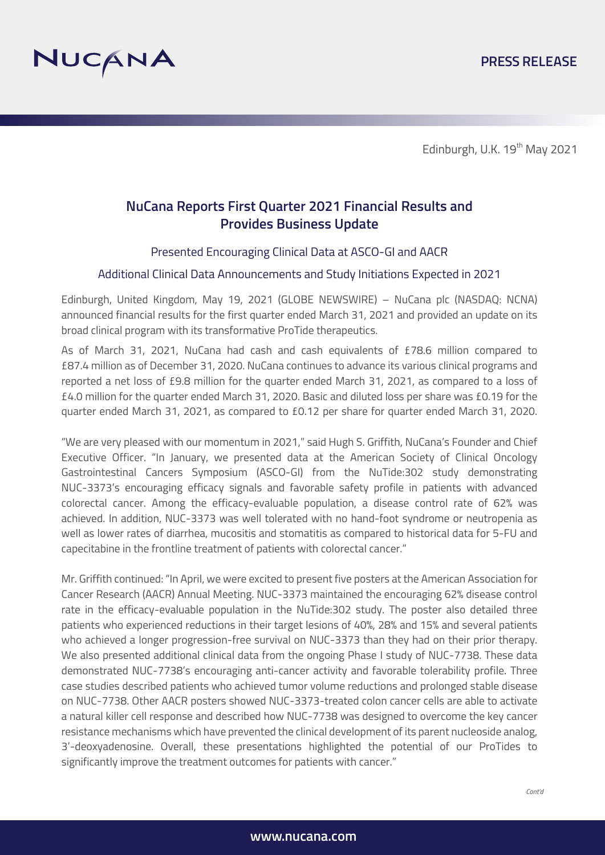

## **NuCana Reports First Quarter 2021 Financial Results and Provides Business Update**

### Presented Encouraging Clinical Data at ASCO-GI and AACR

#### Additional Clinical Data Announcements and Study Initiations Expected in 2021

Edinburgh, United Kingdom, May 19, 2021 (GLOBE NEWSWIRE) – NuCana plc (NASDAQ: NCNA) announced financial results for the first quarter ended March 31, 2021 and provided an update on its broad clinical program with its transformative ProTide therapeutics.

As of March 31, 2021, NuCana had cash and cash equivalents of £78.6 million compared to £87.4 million as of December 31, 2020. NuCana continues to advance its various clinical programs and reported a net loss of £9.8 million for the quarter ended March 31, 2021, as compared to a loss of £4.0 million for the quarter ended March 31, 2020. Basic and diluted loss per share was £0.19 for the quarter ended March 31, 2021, as compared to £0.12 per share for quarter ended March 31, 2020.

"We are very pleased with our momentum in 2021," said Hugh S. Griffith, NuCana's Founder and Chief Executive Officer. "In January, we presented data at the American Society of Clinical Oncology Gastrointestinal Cancers Symposium (ASCO-GI) from the NuTide:302 study demonstrating NUC-3373's encouraging efficacy signals and favorable safety profile in patients with advanced colorectal cancer. Among the efficacy-evaluable population, a disease control rate of 62% was achieved. In addition, NUC-3373 was well tolerated with no hand-foot syndrome or neutropenia as well as lower rates of diarrhea, mucositis and stomatitis as compared to historical data for 5-FU and capecitabine in the frontline treatment of patients with colorectal cancer."

Mr. Griffith continued: "In April, we were excited to present five posters at the American Association for Cancer Research (AACR) Annual Meeting. NUC-3373 maintained the encouraging 62% disease control rate in the efficacy-evaluable population in the NuTide:302 study. The poster also detailed three patients who experienced reductions in their target lesions of 40%, 28% and 15% and several patients who achieved a longer progression-free survival on NUC-3373 than they had on their prior therapy. We also presented additional clinical data from the ongoing Phase I study of NUC-7738. These data demonstrated NUC-7738's encouraging anti-cancer activity and favorable tolerability profile. Three case studies described patients who achieved tumor volume reductions and prolonged stable disease on NUC-7738. Other AACR posters showed NUC-3373-treated colon cancer cells are able to activate a natural killer cell response and described how NUC-7738 was designed to overcome the key cancer resistance mechanisms which have prevented the clinical development of its parent nucleoside analog, 3'-deoxyadenosine. Overall, these presentations highlighted the potential of our ProTides to significantly improve the treatment outcomes for patients with cancer."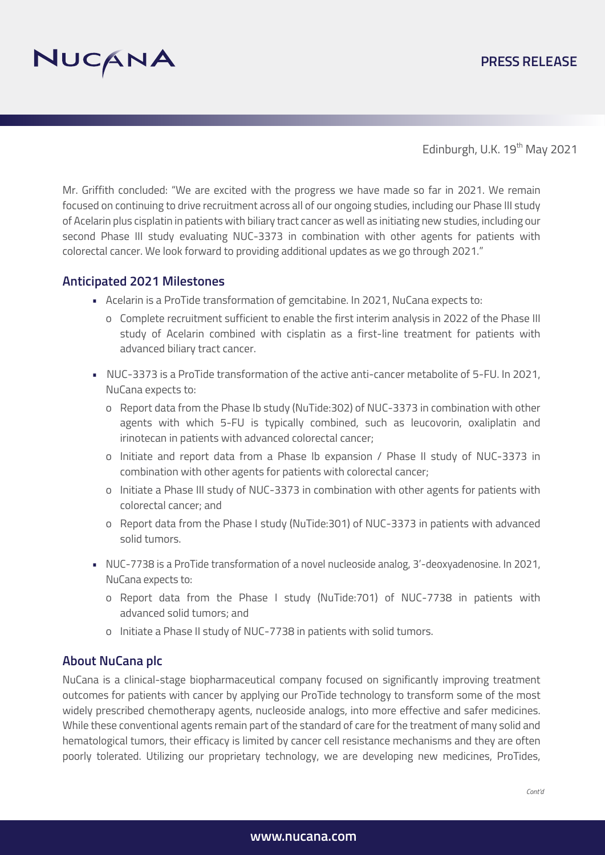

Mr. Griffith concluded: "We are excited with the progress we have made so far in 2021. We remain focused on continuing to drive recruitment across all of our ongoing studies, including our Phase III study of Acelarin plus cisplatin in patients with biliary tract cancer as well as initiating new studies, including our second Phase III study evaluating NUC-3373 in combination with other agents for patients with colorectal cancer. We look forward to providing additional updates as we go through 2021."

#### **Anticipated 2021 Milestones**

- Acelarin is a ProTide transformation of gemcitabine. In 2021, NuCana expects to:
	- o Complete recruitment sufficient to enable the first interim analysis in 2022 of the Phase III study of Acelarin combined with cisplatin as a first-line treatment for patients with advanced biliary tract cancer.
- NUC-3373 is a ProTide transformation of the active anti-cancer metabolite of 5-FU. In 2021, NuCana expects to:
	- o Report data from the Phase Ib study (NuTide:302) of NUC-3373 in combination with other agents with which 5-FU is typically combined, such as leucovorin, oxaliplatin and irinotecan in patients with advanced colorectal cancer;
	- o Initiate and report data from a Phase Ib expansion / Phase II study of NUC-3373 in combination with other agents for patients with colorectal cancer;
	- o Initiate a Phase III study of NUC-3373 in combination with other agents for patients with colorectal cancer; and
	- o Report data from the Phase I study (NuTide:301) of NUC-3373 in patients with advanced solid tumors.
- NUC-7738 is a ProTide transformation of a novel nucleoside analog, 3'-deoxyadenosine. In 2021, NuCana expects to:
	- o Report data from the Phase I study (NuTide:701) of NUC-7738 in patients with advanced solid tumors; and
	- o Initiate a Phase II study of NUC-7738 in patients with solid tumors.

#### **About NuCana plc**

NuCana is a clinical-stage biopharmaceutical company focused on significantly improving treatment outcomes for patients with cancer by applying our ProTide technology to transform some of the most widely prescribed chemotherapy agents, nucleoside analogs, into more effective and safer medicines. While these conventional agents remain part of the standard of care for the treatment of many solid and hematological tumors, their efficacy is limited by cancer cell resistance mechanisms and they are often poorly tolerated. Utilizing our proprietary technology, we are developing new medicines, ProTides,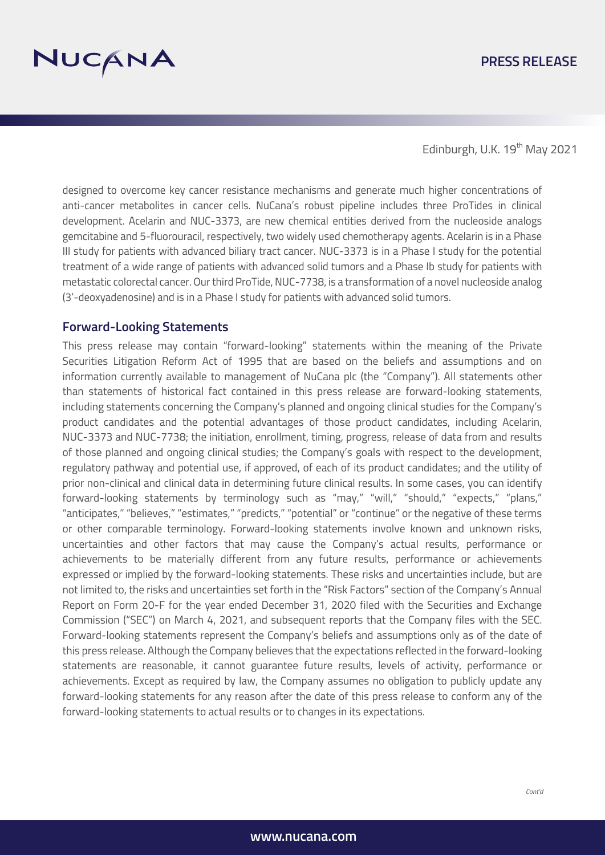

designed to overcome key cancer resistance mechanisms and generate much higher concentrations of anti-cancer metabolites in cancer cells. NuCana's robust pipeline includes three ProTides in clinical development. Acelarin and NUC-3373, are new chemical entities derived from the nucleoside analogs gemcitabine and 5-fluorouracil, respectively, two widely used chemotherapy agents. Acelarin is in a Phase III study for patients with advanced biliary tract cancer. NUC-3373 is in a Phase I study for the potential treatment of a wide range of patients with advanced solid tumors and a Phase Ib study for patients with metastatic colorectal cancer. Our third ProTide, NUC-7738, is a transformation of a novel nucleoside analog (3'-deoxyadenosine) and is in a Phase I study for patients with advanced solid tumors.

#### **Forward-Looking Statements**

This press release may contain "forward-looking" statements within the meaning of the Private Securities Litigation Reform Act of 1995 that are based on the beliefs and assumptions and on information currently available to management of NuCana plc (the "Company"). All statements other than statements of historical fact contained in this press release are forward-looking statements, including statements concerning the Company's planned and ongoing clinical studies for the Company's product candidates and the potential advantages of those product candidates, including Acelarin, NUC-3373 and NUC-7738; the initiation, enrollment, timing, progress, release of data from and results of those planned and ongoing clinical studies; the Company's goals with respect to the development, regulatory pathway and potential use, if approved, of each of its product candidates; and the utility of prior non-clinical and clinical data in determining future clinical results. In some cases, you can identify forward-looking statements by terminology such as "may," "will," "should," "expects," "plans," "anticipates," "believes," "estimates," "predicts," "potential" or "continue" or the negative of these terms or other comparable terminology. Forward-looking statements involve known and unknown risks, uncertainties and other factors that may cause the Company's actual results, performance or achievements to be materially different from any future results, performance or achievements expressed or implied by the forward-looking statements. These risks and uncertainties include, but are not limited to, the risks and uncertainties set forth in the "Risk Factors" section of the Company's Annual Report on Form 20-F for the year ended December 31, 2020 filed with the Securities and Exchange Commission ("SEC") on March 4, 2021, and subsequent reports that the Company files with the SEC. Forward-looking statements represent the Company's beliefs and assumptions only as of the date of this press release. Although the Company believes that the expectations reflected in the forward-looking statements are reasonable, it cannot guarantee future results, levels of activity, performance or achievements. Except as required by law, the Company assumes no obligation to publicly update any forward-looking statements for any reason after the date of this press release to conform any of the forward-looking statements to actual results or to changes in its expectations.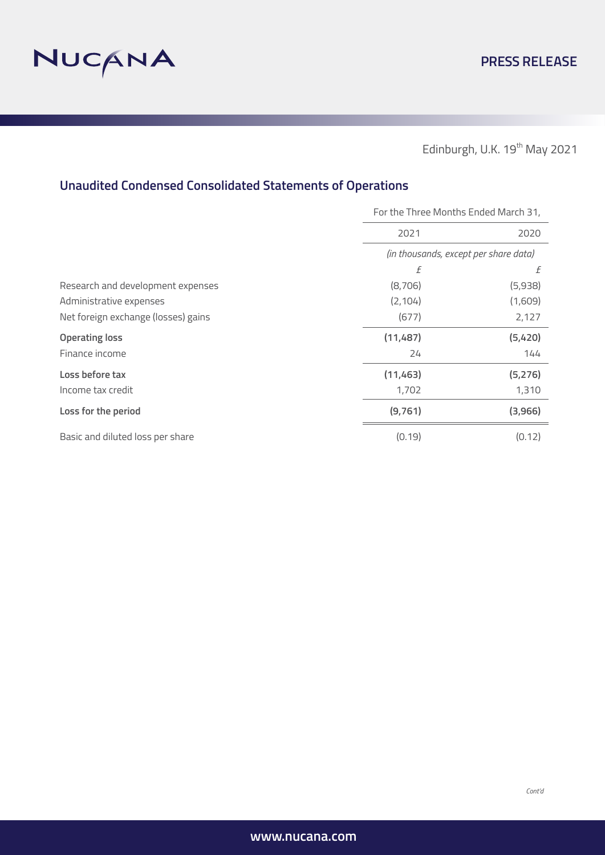

# **Unaudited Condensed Consolidated Statements of Operations**

|                                     | For the Three Months Ended March 31,  |          |
|-------------------------------------|---------------------------------------|----------|
|                                     | 2021                                  | 2020     |
|                                     | (in thousands, except per share data) |          |
|                                     | f                                     | f        |
| Research and development expenses   | (8,706)                               | (5,938)  |
| Administrative expenses             | (2, 104)                              | (1,609)  |
| Net foreign exchange (losses) gains | (677)                                 | 2,127    |
| <b>Operating loss</b>               | (11,487)                              | (5,420)  |
| Finance income                      | 24                                    | 144      |
| Loss before tax                     | (11,463)                              | (5, 276) |
| Income tax credit                   | 1,702                                 | 1,310    |
| Loss for the period                 | (9,761)                               | (3,966)  |
| Basic and diluted loss per share    | (0.19)                                | (0.12)   |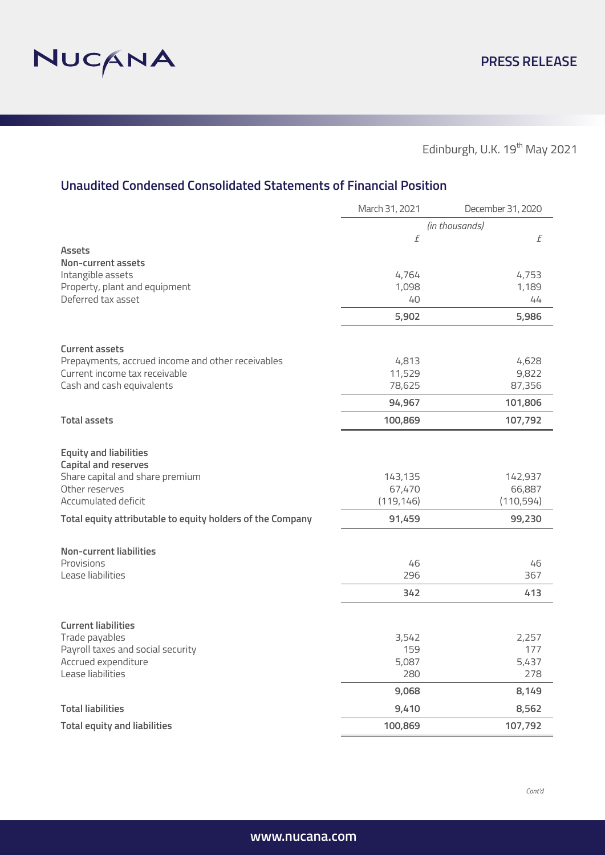

### **Unaudited Condensed Consolidated Statements of Financial Position**

|                                                              | March 31, 2021 | December 31, 2020 |
|--------------------------------------------------------------|----------------|-------------------|
|                                                              |                | (in thousands)    |
|                                                              | £              | f                 |
| <b>Assets</b>                                                |                |                   |
| Non-current assets                                           |                |                   |
| Intangible assets                                            | 4,764          | 4,753             |
| Property, plant and equipment<br>Deferred tax asset          | 1,098<br>40    | 1,189<br>44       |
|                                                              |                |                   |
|                                                              | 5,902          | 5,986             |
| <b>Current assets</b>                                        |                |                   |
| Prepayments, accrued income and other receivables            | 4,813          | 4,628             |
| Current income tax receivable                                | 11,529         | 9,822             |
| Cash and cash equivalents                                    | 78,625         | 87,356            |
|                                                              | 94,967         | 101,806           |
| <b>Total assets</b>                                          | 100,869        | 107,792           |
|                                                              |                |                   |
| <b>Equity and liabilities</b><br><b>Capital and reserves</b> |                |                   |
| Share capital and share premium                              | 143,135        | 142,937           |
| Other reserves                                               | 67,470         | 66,887            |
| Accumulated deficit                                          | (119, 146)     | (110, 594)        |
| Total equity attributable to equity holders of the Company   | 91,459         | 99,230            |
|                                                              |                |                   |
| <b>Non-current liabilities</b>                               |                |                   |
| Provisions<br>Lease liabilities                              | 46<br>296      | 46<br>367         |
|                                                              |                |                   |
|                                                              | 342            | 413               |
| <b>Current liabilities</b>                                   |                |                   |
| Trade payables                                               | 3,542          | 2,257             |
| Payroll taxes and social security                            | 159            | 177               |
| Accrued expenditure                                          | 5,087          | 5,437             |
| Lease liabilities                                            | 280            | 278               |
|                                                              | 9,068          | 8,149             |
| <b>Total liabilities</b>                                     | 9,410          | 8,562             |
| <b>Total equity and liabilities</b>                          | 100,869        | 107,792           |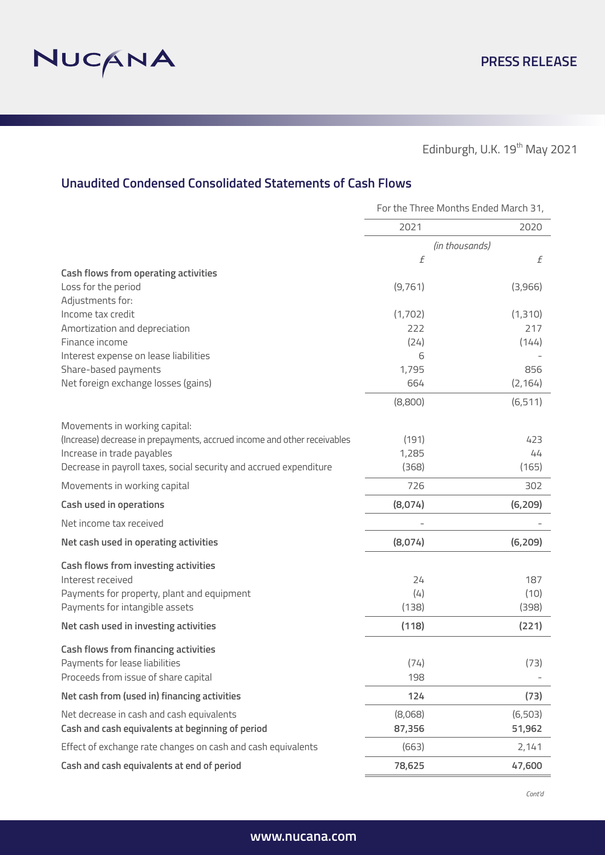

## **Unaudited Condensed Consolidated Statements of Cash Flows**

|                                                                          | For the Three Months Ended March 31, |                |  |
|--------------------------------------------------------------------------|--------------------------------------|----------------|--|
|                                                                          | 2021                                 | 2020           |  |
|                                                                          |                                      | (in thousands) |  |
|                                                                          | f                                    | f              |  |
| Cash flows from operating activities                                     |                                      |                |  |
| Loss for the period                                                      | (9,761)                              | (3,966)        |  |
| Adjustments for:                                                         |                                      |                |  |
| Income tax credit                                                        | (1,702)                              | (1, 310)       |  |
| Amortization and depreciation                                            | 222                                  | 217            |  |
| Finance income                                                           | (24)                                 | (144)          |  |
| Interest expense on lease liabilities                                    | 6                                    |                |  |
| Share-based payments                                                     | 1,795                                | 856            |  |
| Net foreign exchange losses (gains)                                      | 664                                  | (2, 164)       |  |
|                                                                          | (8,800)                              | (6, 511)       |  |
| Movements in working capital:                                            |                                      |                |  |
| (Increase) decrease in prepayments, accrued income and other receivables | (191)                                | 423            |  |
| Increase in trade payables                                               | 1,285                                | 44             |  |
| Decrease in payroll taxes, social security and accrued expenditure       | (368)                                | (165)          |  |
| Movements in working capital                                             | 726                                  | 302            |  |
| <b>Cash used in operations</b>                                           | (8,074)                              | (6, 209)       |  |
| Net income tax received                                                  |                                      |                |  |
| Net cash used in operating activities                                    | (8,074)                              | (6, 209)       |  |
| Cash flows from investing activities                                     |                                      |                |  |
| Interest received                                                        | 24                                   | 187            |  |
| Payments for property, plant and equipment                               | (4)                                  | (10)           |  |
| Payments for intangible assets                                           | (138)                                | (398)          |  |
| Net cash used in investing activities                                    | (118)                                | (221)          |  |
| Cash flows from financing activities                                     |                                      |                |  |
| Payments for lease liabilities                                           | (74)                                 | (73)           |  |
| Proceeds from issue of share capital                                     | 198                                  |                |  |
| Net cash from (used in) financing activities                             | 124                                  | (73)           |  |
| Net decrease in cash and cash equivalents                                | (8,068)                              | (6,503)        |  |
| Cash and cash equivalents at beginning of period                         | 87,356                               | 51,962         |  |
| Effect of exchange rate changes on cash and cash equivalents             | (663)                                | 2,141          |  |
| Cash and cash equivalents at end of period                               | 78,625                               | 47,600         |  |